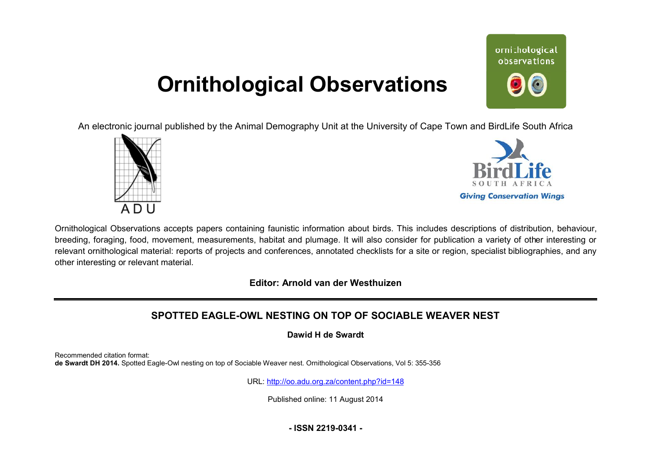## **Ornithological Observations**

ornithological observations

An electronic journal published by the Animal Demography Unit at the University of Cape Town and BirdLife South Africa





Ornithological Observations accepts papers containing faunistic information about birds. This includes descriptions of distribution, behaviour, breeding, foraging, food, movement, measurements, habitat and plumage. It will also consider for publication a variety of other interesting or relevant ornithological material: reports of projects and conferences, annotated checklists for a site or region, specialist bibliographies, and any other interesting or relevant material.

**Editor: Arnold van der Westhuizen**

## **SPOTTED EAGLE-OWL NESTING OWL ON TOP OF SOCIABLE WEAVER NEST**

**Dawid H de Swardt** 

Recommended citation format: de Swardt DH 2014. Spotted Eagle-Owl nesting on top of Sociable Weaver nest. Ornithological Observations, Vol 5: 355-356

URL: <http://oo.adu.org.za/content.php?id=148>

Published online: 11 August 2014

**- ISSN 2219-0341 -**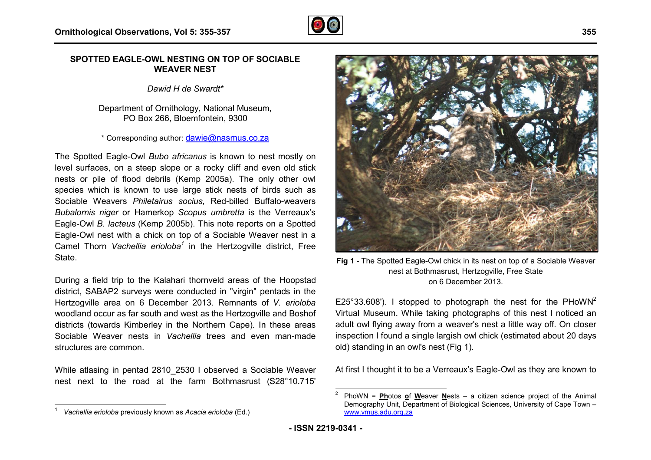

## **SPOTTED EAGLE-OWL NESTING ON TOP OF SOCIABLE WEAVER NEST**

*Dawid H de Swardt\**

Department of Ornithology, National Museum Museum, PO Box 266, Bloemfontein, 9300

\* Corresponding author: [dawie@nasmus.co.za](mailto:dawie@nasmus.co.za)

The Spotted Eagle-Owl *Bubo africanus* is known to nest mostly on level surfaces, on a steep slope or a rocky cliff and even old stick nests or pile of flood debrils (Kemp 2005a). The only other owl species which is known to use large stick nests of birds such as Sociable Weavers Philetairus socius, Red-billed Buffalo-weavers *Bubalornis niger* or Hamerkop *Scopus umbretta* is the Verre Verreaux's Eagle-Owl *B. lacteus* (Kemp 2005b). This note reports on a Spotted Eagle-Owl nest with a chick on top of a Sociable Weaver nest in a Camel Thorn *Vachellia erioloba<sup>1</sup>* in the Hertzogville district, Free State. Eagle-Owl *B. lacteus* (Kemp 2005b). This note reports on a Spotted<br>Eagle-Owl nest with a chick on top of a Sociable Weaver nest in a<br>Camel Thorn *Vachellia erioloba<sup>1</sup>* in the Hertzogville district, Free<br>State.<br>During a f

During a field trip to the Kalahari thornveld areas of the Hoopstad Hertzogville area on 6 December 2013. Remnants of *V. erioloba* woodland occur as far south and west as the Hertzogville and B Boshof districts (towards Kimberley in the Northern Cape). In these areas Sociable Weaver nests in Vachellia trees and even man-made structures are common.

While atlasing in pentad 2810 2530 I observed a Sociable Weaver While atlasing in pentad 2810\_2530 I observed a Sociable Weaver<br>nest next to the road at the farm Bothmasrust (S28°10.715'

 $\overline{\phantom{a}}$ 1



Fig 1 - The Spotted Eagle-Owl chick in its nest on top of a Sociable Weaver nest at Bothmasrust, Hertzogville, Free State on 6 December 2013.

E25°33.608'). I stopped to photograph the nest for the PHoWN<sup>2</sup> Virtual Museum. While taking photographs of this nest I noticed an adult owl flying away from a weaver's nest a little way off. On closer inspection I found a single largish owl chick (estimated about 20 days old) standing in an owl's nest (Fig 1).

At first I thought it to be a Verreaux's Eagle-Owl as they are known to

 $\overline{a}$ 

*Vachellia erioloba* previously known as *Acacia erioloba* (Ed.)

<sup>2</sup> PhoWN = **Ph**otos **o**f **W**eaver **N**ests – a citizen science project of the Animal Demography Unit, Department of Biological Sciences, University of Cape Town – [www.vmus.adu.org.za](http://www.vmus.adu.org.za)